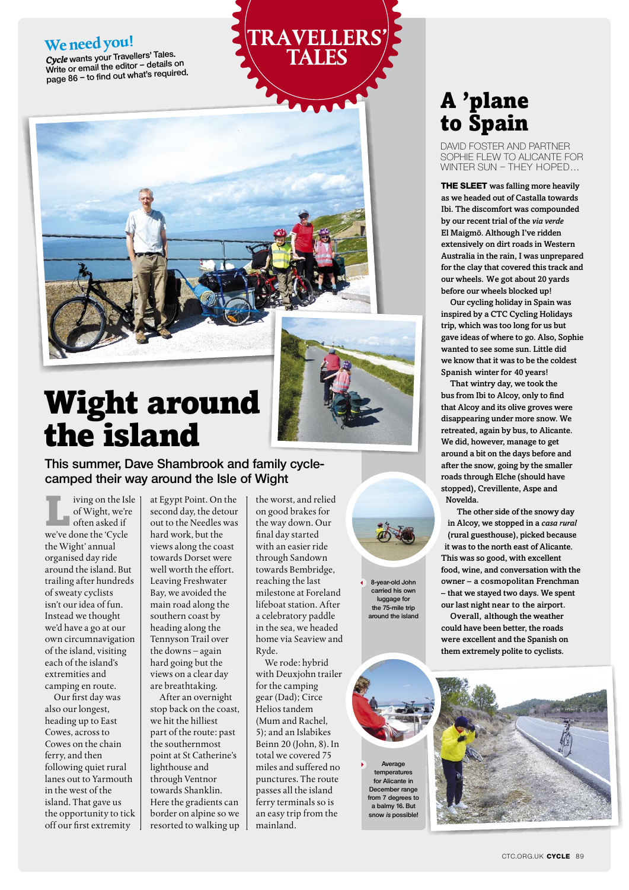### **We need you!**

*Cycle* **wants your Travellers' Tales. Write or email the editor – details on page 86 – to find out what's required.**





## Wight around the island

**This summer, Dave Shambrook and family cyclecamped their way around the Isle of Wight**

iving on the Isle of Wight, we're often asked if we've done the 'Cycle the Wight' annual organised day ride around the island. But trailing after hundreds of sweaty cyclists isn't our idea of fun. Instead we thought we'd have a go at our own circumnavigation of the island, visiting each of the island's extremities and camping en route.

Our first day was also our longest, heading up to East Cowes, across to Cowes on the chain ferry, and then following quiet rural lanes out to Yarmouth in the west of the island. That gave us the opportunity to tick off our first extremity

at Egypt Point. On the second day, the detour out to the Needles was hard work, but the views along the coast towards Dorset were well worth the effort. Leaving Freshwater Bay, we avoided the main road along the southern coast by heading along the Tennyson Trail over the downs – again hard going but the views on a clear day are breathtaking.

After an overnight stop back on the coast, we hit the hilliest part of the route: past the southernmost point at St Catherine's lighthouse and through Ventnor towards Shanklin. Here the gradients can border on alpine so we resorted to walking up

the worst, and relied on good brakes for the way down. Our final day started with an easier ride through Sandown towards Bembridge, reaching the last milestone at Foreland lifeboat station. After a celebratory paddle in the sea, we headed home via Seaview and Ryde.

We rode: hybrid with Deuxjohn trailer for the camping gear (Dad); Circe Helios tandem (Mum and Rachel, 5); and an Islabikes Beinn 20 (John, 8). In total we covered 75 miles and suffered no punctures. The route passes all the island ferry terminals so is an easy trip from the mainland.

**8-year-old John carried his own** 

**luggage for the 75-mile trip around the island**

**Average temperatures for Alicante in December range from 7 degrees to a balmy 16. But snow is possible!**

## A 'plane to Spain

David Foster and partner Sophie flew to Alicante for winter sun – they hoped…

**THE SLEET** was falling more heavily as we headed out of Castalla towards Ibi. The discomfort was compounded by our recent trial of the *via verde* El Maigmõ. Although I've ridden extensively on dirt roads in Western Australia in the rain, I was unprepared for the clay that covered this track and our wheels. We got about 20 yards before our wheels blocked up!

Our cycling holiday in Spain was inspired by a CTC Cycling Holidays trip, which was too long for us but gave ideas of where to go. Also, Sophie wanted to see some sun. Little did we know that it was to be the coldest Spanish winter for 40 years!

That wintry day, we took the bus from Ibi to Alcoy, only to find that Alcoy and its olive groves were disappearing under more snow. We retreated, again by bus, to Alicante. We did, however, manage to get around a bit on the days before and after the snow, going by the smaller roads through Elche (should have stopped), Crevillente, Aspe and Novelda.

The other side of the snowy day in Alcoy, we stopped in a *casa rural* (rural guesthouse), picked because it was to the north east of Alicante. This was so good, with excellent food, wine, and conversation with the owner – a cosmopolitan Frenchman – that we stayed two days. We spent our last night near to the airport.

Overall, although the weather could have been better, the roads were excellent and the Spanish on them extremely polite to cyclists.